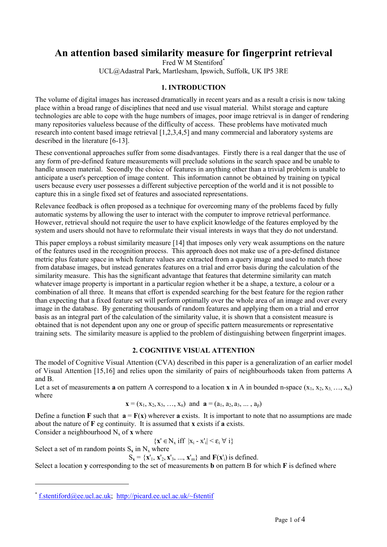# **An attention based similarity measure for fingerprint retrieval**

Fred W<sub>M</sub> Stentiford<sup>\*</sup> UCL@Adastral Park, Martlesham, Ipswich, Suffolk, UK IP5 3RE

## **1. INTRODUCTION**

The volume of digital images has increased dramatically in recent years and as a result a crisis is now taking place within a broad range of disciplines that need and use visual material. Whilst storage and capture technologies are able to cope with the huge numbers of images, poor image retrieval is in danger of rendering many repositories valueless because of the difficulty of access. These problems have motivated much research into content based image retrieval [1,2,3,4,5] and many commercial and laboratory systems are described in the literature [6-13].

These conventional approaches suffer from some disadvantages. Firstly there is a real danger that the use of any form of pre-defined feature measurements will preclude solutions in the search space and be unable to handle unseen material. Secondly the choice of features in anything other than a trivial problem is unable to anticipate a user's perception of image content. This information cannot be obtained by training on typical users because every user possesses a different subjective perception of the world and it is not possible to capture this in a single fixed set of features and associated representations.

Relevance feedback is often proposed as a technique for overcoming many of the problems faced by fully automatic systems by allowing the user to interact with the computer to improve retrieval performance. However, retrieval should not require the user to have explicit knowledge of the features employed by the system and users should not have to reformulate their visual interests in ways that they do not understand.

This paper employs a robust similarity measure [14] that imposes only very weak assumptions on the nature of the features used in the recognition process. This approach does not make use of a pre-defined distance metric plus feature space in which feature values are extracted from a query image and used to match those from database images, but instead generates features on a trial and error basis during the calculation of the similarity measure. This has the significant advantage that features that determine similarity can match whatever image property is important in a particular region whether it be a shape, a texture, a colour or a combination of all three. It means that effort is expended searching for the best feature for the region rather than expecting that a fixed feature set will perform optimally over the whole area of an image and over every image in the database. By generating thousands of random features and applying them on a trial and error basis as an integral part of the calculation of the similarity value, it is shown that a consistent measure is obtained that is not dependent upon any one or group of specific pattern measurements or representative training sets. The similarity measure is applied to the problem of distinguishing between fingerprint images.

## **2. COGNITIVE VISUAL ATTENTION**

The model of Cognitive Visual Attention (CVA) described in this paper is a generalization of an earlier model of Visual Attention [15,16] and relies upon the similarity of pairs of neighbourhoods taken from patterns A and B.

Let a set of measurements **a** on pattern A correspond to a location **x** in A in bounded n-space  $(x_1, x_2, x_3, ..., x_n)$ where

$$
\mathbf{x} = (x_1, x_2, x_3, ..., x_n)
$$
 and  $\mathbf{a} = (a_1, a_2, a_3, ..., a_p)$ 

Define a function **F** such that  $\mathbf{a} = \mathbf{F}(\mathbf{x})$  wherever **a** exists. It is important to note that no assumptions are made about the nature of **F** eg continuity. It is assumed that **x** exists if **a** exists. Consider a neighbourhood  $N_x$  of **x** where

$$
\{{\boldsymbol x}' \in N_x \text{ iff } |x_i - x_i'| \leq \epsilon_i \ \forall \ i\}
$$

Select a set of m random points  $S_x$  in  $N_x$  where

 $\overline{a}$ 

$$
S_x = \{x'_1, x'_2, x'_3, ..., x'_m\}
$$
 and  $F(x'_i)$  is defined.

Select a location **y** corresponding to the set of measurements **b** on pattern B for which **F** is defined where

<sup>\*</sup> f.stentiford@ee.ucl.ac.uk; http://picard.ee.ucl.ac.uk/~fstentif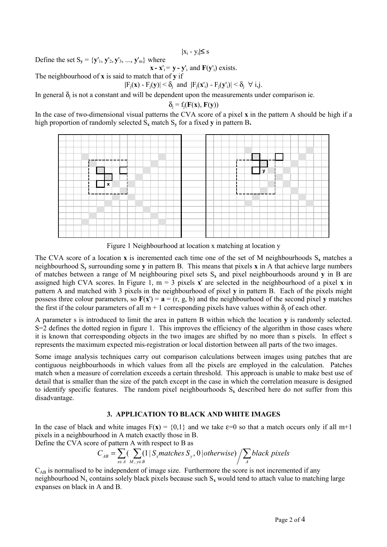**|**xi - yi**|**≤ s

Define the set  $S_y = \{y'_1, y'_2, y'_3, ..., y'_m\}$  where

 $\mathbf{x} - \mathbf{x}'_i = \mathbf{y} - \mathbf{y}'_i$  and  $\mathbf{F}(\mathbf{y}'_i)$  exists.

The neighbourhood of **x** is said to match that of **y** if

 $|F_i(\mathbf{x}) - F_i(\mathbf{y})| \leq \delta_i$  and  $|F_i(\mathbf{x}^i) - F_i(\mathbf{y}^i)| \leq \delta_i \quad \forall i, j$ .

In general  $\delta_i$  is not a constant and will be dependent upon the measurements under comparison ie.

 $\delta_i = f_i(\mathbf{F}(\mathbf{x}), \mathbf{F}(\mathbf{y}))$ 

In the case of two-dimensional visual patterns the CVA score of a pixel **x** in the pattern A should be high if a high proportion of randomly selected  $S_x$  match  $S_y$  for a fixed **y** in pattern **B**.



Figure 1 Neighbourhood at location x matching at location y

The CVA score of a location **x** is incremented each time one of the set of M neighbourhoods  $S_x$  matches a neighbourhood S**y** surrounding some **y** in pattern B. This means that pixels **x** in A that achieve large numbers of matches between a range of M neighbouring pixel sets S**x** and pixel neighbourhoods around **y** in B are assigned high CVA scores. In Figure 1,  $m = 3$  pixels **x**' are selected in the neighbourhood of a pixel **x** in pattern A and matched with 3 pixels in the neighbourhood of pixel **y** in pattern B. Each of the pixels might possess three colour parameters, so  $F(x') = a = (r, g, b)$  and the neighbourhood of the second pixel y matches the first if the colour parameters of all  $m + 1$  corresponding pixels have values within  $\delta_i$  of each other.

A parameter s is introduced to limit the area in pattern B within which the location **y** is randomly selected. S=2 defines the dotted region in figure 1. This improves the efficiency of the algorithm in those cases where it is known that corresponding objects in the two images are shifted by no more than s pixels. In effect s represents the maximum expected mis-registration or local distortion between all parts of the two images.

Some image analysis techniques carry out comparison calculations between images using patches that are contiguous neighbourhoods in which values from all the pixels are employed in the calculation. Patches match when a measure of correlation exceeds a certain threshold. This approach is unable to make best use of detail that is smaller than the size of the patch except in the case in which the correlation measure is designed to identify specific features. The random pixel neighbourhoods  $S_x$  described here do not suffer from this disadvantage.

#### **3. APPLICATION TO BLACK AND WHITE IMAGES**

In the case of black and white images  $F(x) = \{0,1\}$  and we take  $\varepsilon = 0$  so that a match occurs only if all m+1 pixels in a neighbourhood in A match exactly those in B.

Define the CVA score of pattern A with respect to B as

$$
C_{AB} = \sum_{x \in A} \left( \sum_{M, y \in B} (1 \mid S_x \text{matches } S_y, 0 \mid otherwise \right) / \sum_{A} black \text{ pixels}
$$

CAB is normalised to be independent of image size. Furthermore the score is not incremented if any neighbourhood  $N_x$  contains solely black pixels because such  $S_x$  would tend to attach value to matching large expanses on black in A and B.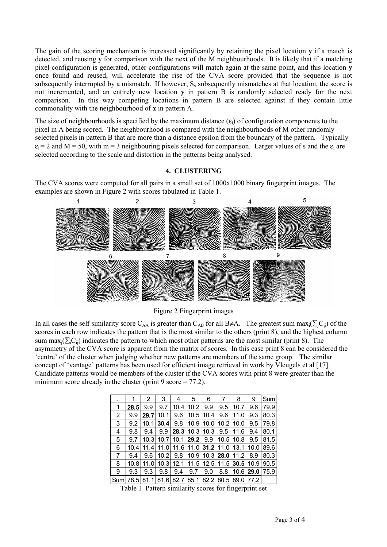The gain of the scoring mechanism is increased significantly by retaining the pixel location **y** if a match is detected, and reusing **y** for comparison with the next of the M neighbourhoods. It is likely that if a matching pixel configuration is generated, other configurations will match again at the same point, and this location **y** once found and reused, will accelerate the rise of the CVA score provided that the sequence is not subsequently interrupted by a mismatch. If however, S<sub>x</sub> subsequently mismatches at that location, the score is not incremented, and an entirely new location **y** in pattern B is randomly selected ready for the next comparison. In this way competing locations in pattern B are selected against if they contain little commonality with the neighbourhood of **x** in pattern A.

The size of neighbourhoods is specified by the maximum distance  $(\epsilon_i)$  of configuration components to the pixel in A being scored. The neighbourhood is compared with the neighbourhoods of M other randomly selected pixels in pattern B that are more than a distance epsilon from the boundary of the pattern. Typically  $\varepsilon_i = 2$  and M = 50, with m = 3 neighbouring pixels selected for comparison. Larger values of s and the  $\varepsilon_i$  are selected according to the scale and distortion in the patterns being analysed.

#### **4. CLUSTERING**

The CVA scores were computed for all pairs in a small set of 1000x1000 binary fingerprint images. The examples are shown in Figure 2 with scores tabulated in Table 1.



Figure 2 Fingerprint images

In all cases the self similarity score C<sub>AA</sub> is greater than C<sub>AB</sub> for all B≠A. The greatest sum max<sub>i</sub>( $\Sigma_i$ C<sub>ii</sub>) of the scores in each row indicates the pattern that is the most similar to the others (print 8), and the highest column sum max<sub>i</sub>( $\Sigma_i$ C<sub>ii</sub>) indicates the pattern to which most other patterns are the most similar (print 8). The asymmetry of the CVA score is apparent from the matrix of scores. In this case print 8 can be considered the 'centre' of the cluster when judging whether new patterns are members of the same group. The similar concept of 'vantage' patterns has been used for efficient image retrieval in work by Vleugels et al [17]. Candidate patterns would be members of the cluster if the CVA scores with print 8 were greater than the minimum score already in the cluster (print 9 score  $= 77.2$ ).

| . .            |               | 2     | 3                                  | 4                  | 5    | 6             |     | 8                                       | 9   | Sum            |
|----------------|---------------|-------|------------------------------------|--------------------|------|---------------|-----|-----------------------------------------|-----|----------------|
|                | 28.5          | 9.9   | 9.7                                | 10.4               | 10.2 | 9.9           | 9.5 | 10.7                                    | 9.6 | 79.9           |
| 2              | 9.9           | 29.7  | 10.1                               | 9.6                | 10.5 | 10.4          | 9.6 | 11.0                                    | 9.3 | 80.3           |
| 3              | 9.2           | 10.1  | 30.4                               | 9.8                | 10.9 | 10.0          |     | $10.2$ 10.0                             | 9.5 | 79.8           |
| 4              | 9.8           | 9.4   | 9.9                                | 28.3               |      | $10.3$   10.3 |     | $9.5$ 11.6                              | 9.4 | 80.1           |
| 5              | 9.7           | 10.31 |                                    | $10.7$ 10.1   29.2 |      | 9.9           |     | 10.5 10.8                               | 9.5 | 81.5           |
| 6              | 10.4          | 11.4  |                                    |                    |      |               |     | 11.0   11.6   11.0   31.2   11.0   13.1 |     | 10.0 89.6      |
| $\overline{7}$ | 9.4           | 9.6   | 10.21                              | 9.8                |      |               |     | $10.9$ 10.3 28.0 11.2                   | 8.9 | 80.3           |
| 8              | 10.8          | 11.01 | 10.3                               | 12.1               |      |               |     | 11.5 12.5 11.5 30.5 10.9                |     | 90.5           |
| 9              | 9.3           | 9.3   | 9.8                                | 9.4                | 9.7  | 9.0           | 8.8 |                                         |     | 10.6 29.0 75.9 |
|                | Sum 78.5 81.1 |       | 81.6 82.7 85.1 82.2 80.5 89.0 77.2 |                    |      |               |     |                                         |     |                |

Table 1 Pattern similarity scores for fingerprint set